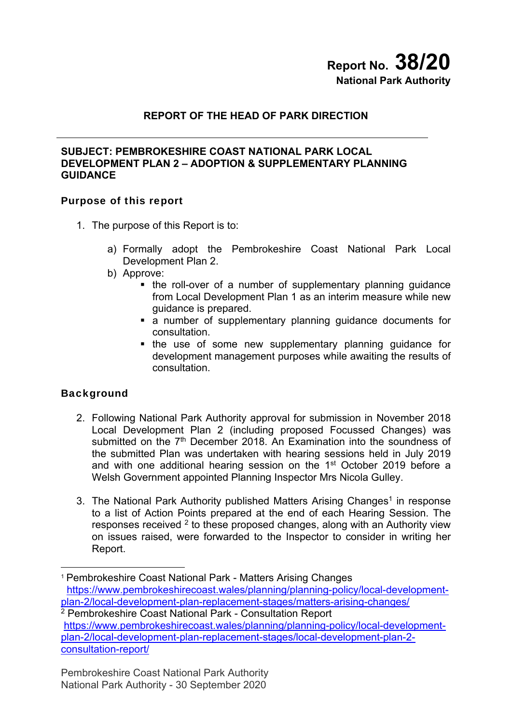# **Report No. 38/20 National Park Authority**

# **REPORT OF THE HEAD OF PARK DIRECTION**

## **SUBJECT: PEMBROKESHIRE COAST NATIONAL PARK LOCAL DEVELOPMENT PLAN 2 – ADOPTION & SUPPLEMENTARY PLANNING GUIDANCE**

## Purpose of this report

- 1. The purpose of this Report is to:
	- a) Formally adopt the Pembrokeshire Coast National Park Local Development Plan 2.
	- b) Approve:
		- the roll-over of a number of supplementary planning guidance from Local Development Plan 1 as an interim measure while new guidance is prepared.
		- a number of supplementary planning guidance documents for consultation.
		- the use of some new supplementary planning quidance for development management purposes while awaiting the results of consultation.

## **Background**

1

- 2. Following National Park Authority approval for submission in November 2018 Local Development Plan 2 (including proposed Focussed Changes) was submitted on the 7<sup>th</sup> December 2018. An Examination into the soundness of the submitted Plan was undertaken with hearing sessions held in July 2019 and with one additional hearing session on the 1<sup>st</sup> October 2019 before a Welsh Government appointed Planning Inspector Mrs Nicola Gulley.
- 3. The National Park Authority published Matters Arising Changes<sup>1</sup> in response to a list of Action Points prepared at the end of each Hearing Session. The responses received <sup>2</sup> to these proposed changes, along with an Authority view on issues raised, were forwarded to the Inspector to consider in writing her Report.

<sup>1</sup> Pembrokeshire Coast National Park - Matters Arising Changes https://www.pembrokeshirecoast.wales/planning/planning-policy/local-development-

plan-2/local-development-plan-replacement-stages/matters-arising-changes/ 2 Pembrokeshire Coast National Park - Consultation Report https://www.pembrokeshirecoast.wales/planning/planning-policy/local-developmentplan-2/local-development-plan-replacement-stages/local-development-plan-2 consultation-report/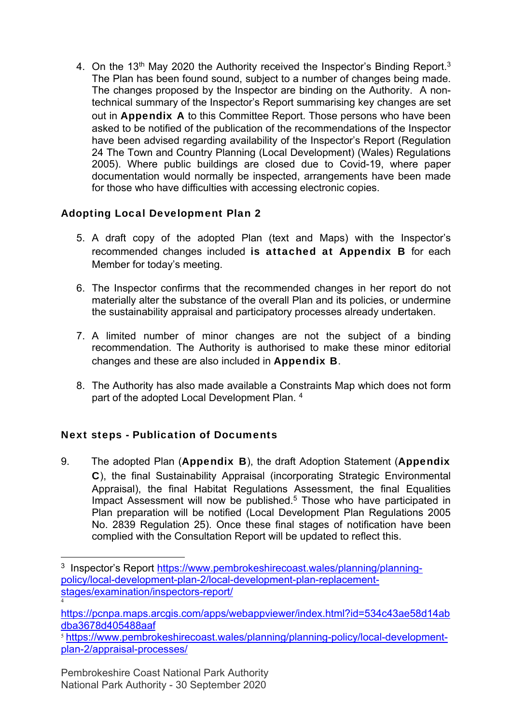4. On the 13<sup>th</sup> May 2020 the Authority received the Inspector's Binding Report.<sup>3</sup> The Plan has been found sound, subject to a number of changes being made. The changes proposed by the Inspector are binding on the Authority. A nontechnical summary of the Inspector's Report summarising key changes are set out in **Appendix A** to this Committee Report. Those persons who have been asked to be notified of the publication of the recommendations of the Inspector have been advised regarding availability of the Inspector's Report (Regulation 24 The Town and Country Planning (Local Development) (Wales) Regulations 2005). Where public buildings are closed due to Covid-19, where paper documentation would normally be inspected, arrangements have been made for those who have difficulties with accessing electronic copies.

# Adopting Local Development Plan 2

- 5. A draft copy of the adopted Plan (text and Maps) with the Inspector's recommended changes included is attached at Appendix B for each Member for today's meeting.
- 6. The Inspector confirms that the recommended changes in her report do not materially alter the substance of the overall Plan and its policies, or undermine the sustainability appraisal and participatory processes already undertaken.
- 7. A limited number of minor changes are not the subject of a binding recommendation. The Authority is authorised to make these minor editorial changes and these are also included in Appendix B.
- 8. The Authority has also made available a Constraints Map which does not form part of the adopted Local Development Plan. 4

# Next steps - Publication of Documents

9. The adopted Plan (Appendix B), the draft Adoption Statement (Appendix C), the final Sustainability Appraisal (incorporating Strategic Environmental Appraisal), the final Habitat Regulations Assessment, the final Equalities Impact Assessment will now be published.<sup>5</sup> Those who have participated in Plan preparation will be notified (Local Development Plan Regulations 2005 No. 2839 Regulation 25). Once these final stages of notification have been complied with the Consultation Report will be updated to reflect this.

<sup>5</sup> https://www.pembrokeshirecoast.wales/planning/planning-policy/local-developmentplan-2/appraisal-processes/

Pembrokeshire Coast National Park Authority National Park Authority - 30 September 2020

1

<sup>&</sup>lt;sup>3</sup> Inspector's Report https://www.pembrokeshirecoast.wales/planning/planningpolicy/local-development-plan-2/local-development-plan-replacementstages/examination/inspectors-report/ 4

https://pcnpa.maps.arcgis.com/apps/webappviewer/index.html?id=534c43ae58d14ab dba3678d405488aaf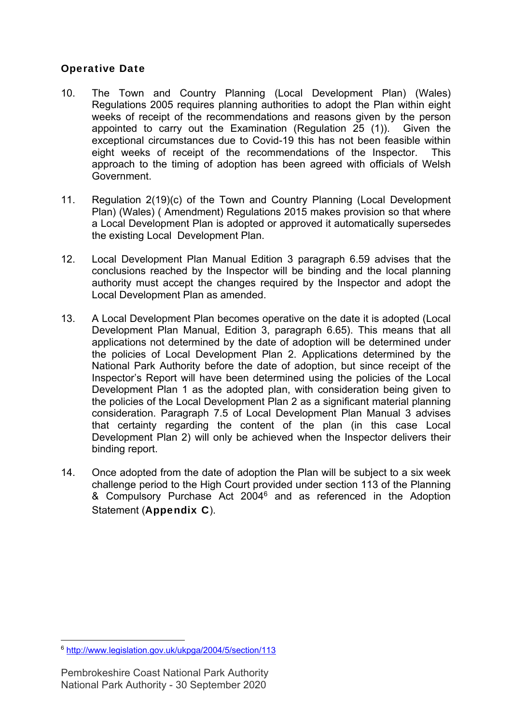# Operative Date

- 10. The Town and Country Planning (Local Development Plan) (Wales) Regulations 2005 requires planning authorities to adopt the Plan within eight weeks of receipt of the recommendations and reasons given by the person appointed to carry out the Examination (Regulation 25 (1)). Given the exceptional circumstances due to Covid-19 this has not been feasible within eight weeks of receipt of the recommendations of the Inspector. This approach to the timing of adoption has been agreed with officials of Welsh Government.
- 11. Regulation 2(19)(c) of the Town and Country Planning (Local Development Plan) (Wales) ( Amendment) Regulations 2015 makes provision so that where a Local Development Plan is adopted or approved it automatically supersedes the existing Local Development Plan.
- 12. Local Development Plan Manual Edition 3 paragraph 6.59 advises that the conclusions reached by the Inspector will be binding and the local planning authority must accept the changes required by the Inspector and adopt the Local Development Plan as amended.
- 13. A Local Development Plan becomes operative on the date it is adopted (Local Development Plan Manual, Edition 3, paragraph 6.65). This means that all applications not determined by the date of adoption will be determined under the policies of Local Development Plan 2. Applications determined by the National Park Authority before the date of adoption, but since receipt of the Inspector's Report will have been determined using the policies of the Local Development Plan 1 as the adopted plan, with consideration being given to the policies of the Local Development Plan 2 as a significant material planning consideration. Paragraph 7.5 of Local Development Plan Manual 3 advises that certainty regarding the content of the plan (in this case Local Development Plan 2) will only be achieved when the Inspector delivers their binding report.
- 14. Once adopted from the date of adoption the Plan will be subject to a six week challenge period to the High Court provided under section 113 of the Planning & Compulsory Purchase Act 20046 and as referenced in the Adoption Statement (Appendix C).

<sup>1</sup> <sup>6</sup> http://www.legislation.gov.uk/ukpga/2004/5/section/113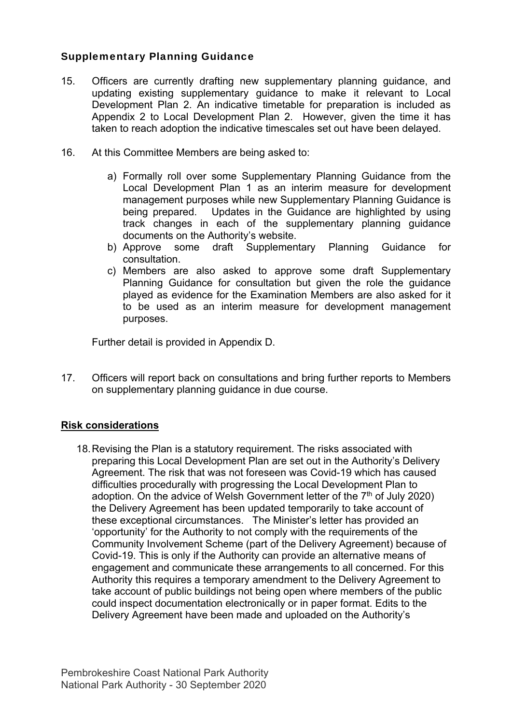# Supplementary Planning Guidance

- 15. Officers are currently drafting new supplementary planning guidance, and updating existing supplementary guidance to make it relevant to Local Development Plan 2. An indicative timetable for preparation is included as Appendix 2 to Local Development Plan 2. However, given the time it has taken to reach adoption the indicative timescales set out have been delayed.
- 16. At this Committee Members are being asked to:
	- a) Formally roll over some Supplementary Planning Guidance from the Local Development Plan 1 as an interim measure for development management purposes while new Supplementary Planning Guidance is being prepared. Updates in the Guidance are highlighted by using track changes in each of the supplementary planning guidance documents on the Authority's website.
	- b) Approve some draft Supplementary Planning Guidance for consultation.
	- c) Members are also asked to approve some draft Supplementary Planning Guidance for consultation but given the role the guidance played as evidence for the Examination Members are also asked for it to be used as an interim measure for development management purposes.

Further detail is provided in Appendix D.

17. Officers will report back on consultations and bring further reports to Members on supplementary planning guidance in due course.

## **Risk considerations**

18. Revising the Plan is a statutory requirement. The risks associated with preparing this Local Development Plan are set out in the Authority's Delivery Agreement. The risk that was not foreseen was Covid-19 which has caused difficulties procedurally with progressing the Local Development Plan to adoption. On the advice of Welsh Government letter of the  $7<sup>th</sup>$  of July 2020) the Delivery Agreement has been updated temporarily to take account of these exceptional circumstances. The Minister's letter has provided an 'opportunity' for the Authority to not comply with the requirements of the Community Involvement Scheme (part of the Delivery Agreement) because of Covid-19. This is only if the Authority can provide an alternative means of engagement and communicate these arrangements to all concerned. For this Authority this requires a temporary amendment to the Delivery Agreement to take account of public buildings not being open where members of the public could inspect documentation electronically or in paper format. Edits to the Delivery Agreement have been made and uploaded on the Authority's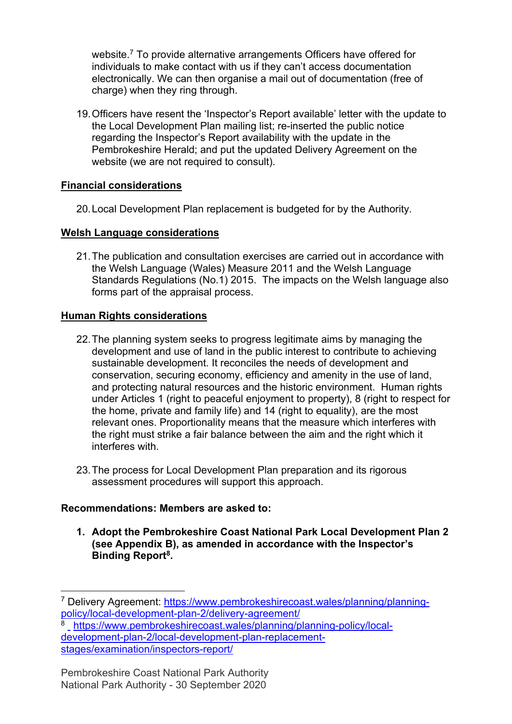website.<sup>7</sup> To provide alternative arrangements Officers have offered for individuals to make contact with us if they can't access documentation electronically. We can then organise a mail out of documentation (free of charge) when they ring through.

19. Officers have resent the 'Inspector's Report available' letter with the update to the Local Development Plan mailing list; re-inserted the public notice regarding the Inspector's Report availability with the update in the Pembrokeshire Herald; and put the updated Delivery Agreement on the website (we are not required to consult).

## **Financial considerations**

20. Local Development Plan replacement is budgeted for by the Authority.

## **Welsh Language considerations**

21. The publication and consultation exercises are carried out in accordance with the Welsh Language (Wales) Measure 2011 and the Welsh Language Standards Regulations (No.1) 2015. The impacts on the Welsh language also forms part of the appraisal process.

## **Human Rights considerations**

- 22. The planning system seeks to progress legitimate aims by managing the development and use of land in the public interest to contribute to achieving sustainable development. It reconciles the needs of development and conservation, securing economy, efficiency and amenity in the use of land, and protecting natural resources and the historic environment. Human rights under Articles 1 (right to peaceful enjoyment to property), 8 (right to respect for the home, private and family life) and 14 (right to equality), are the most relevant ones. Proportionality means that the measure which interferes with the right must strike a fair balance between the aim and the right which it interferes with.
- 23. The process for Local Development Plan preparation and its rigorous assessment procedures will support this approach.

## **Recommendations: Members are asked to:**

1

**1. Adopt the Pembrokeshire Coast National Park Local Development Plan 2 (see Appendix B), as amended in accordance with the Inspector's Binding Report8.** 

<sup>&</sup>lt;sup>7</sup> Delivery Agreement: https://www.pembrokeshirecoast.wales/planning/planning-<br>policy/local-development-plan-2/delivery-agreement/

policy.com as expressed as control planning/ and agreement 8 https://www.pembrokeshirecoast.wales/planning/planning-policy/localdevelopment-plan-2/local-development-plan-replacementstages/examination/inspectors-report/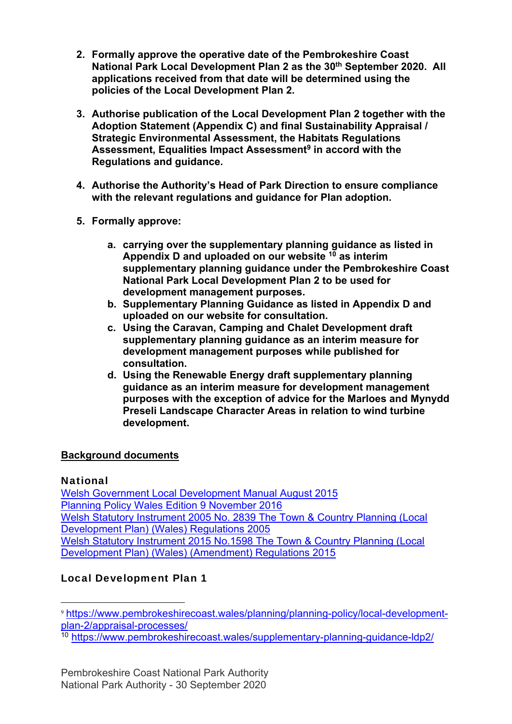- **2. Formally approve the operative date of the Pembrokeshire Coast**  National Park Local Development Plan 2 as the 30<sup>th</sup> September 2020. All **applications received from that date will be determined using the policies of the Local Development Plan 2.**
- **3. Authorise publication of the Local Development Plan 2 together with the Adoption Statement (Appendix C) and final Sustainability Appraisal / Strategic Environmental Assessment, the Habitats Regulations Assessment, Equalities Impact Assessment9 in accord with the Regulations and guidance.**
- **4. Authorise the Authority's Head of Park Direction to ensure compliance with the relevant regulations and guidance for Plan adoption.**
- **5. Formally approve:** 
	- **a. carrying over the supplementary planning guidance as listed in Appendix D and uploaded on our website 10 as interim supplementary planning guidance under the Pembrokeshire Coast National Park Local Development Plan 2 to be used for development management purposes.**
	- **b. Supplementary Planning Guidance as listed in Appendix D and uploaded on our website for consultation.**
	- **c. Using the Caravan, Camping and Chalet Development draft supplementary planning guidance as an interim measure for development management purposes while published for consultation.**
	- **d. Using the Renewable Energy draft supplementary planning guidance as an interim measure for development management purposes with the exception of advice for the Marloes and Mynydd Preseli Landscape Character Areas in relation to wind turbine development.**

## **Background documents**

## National

Welsh Government Local Development Manual August 2015 Planning Policy Wales Edition 9 November 2016 Welsh Statutory Instrument 2005 No. 2839 The Town & Country Planning (Local Development Plan) (Wales) Regulations 2005 Welsh Statutory Instrument 2015 No.1598 The Town & Country Planning (Local Development Plan) (Wales) (Amendment) Regulations 2015

# Local Development Plan 1

1 <sup>9</sup> https://www.pembrokeshirecoast.wales/planning/planning-policy/local-developmentplan-2/appraisal-processes/

<sup>10</sup> https://www.pembrokeshirecoast.wales/supplementary-planning-guidance-ldp2/

Pembrokeshire Coast National Park Authority National Park Authority - 30 September 2020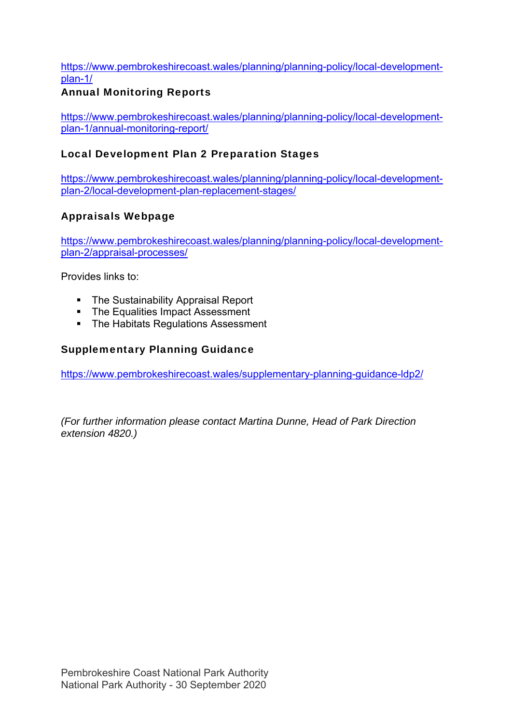## https://www.pembrokeshirecoast.wales/planning/planning-policy/local-developmentplan-1/

# Annual Monitoring Reports

https://www.pembrokeshirecoast.wales/planning/planning-policy/local-developmentplan-1/annual-monitoring-report/

# Local Development Plan 2 Preparation Stages

https://www.pembrokeshirecoast.wales/planning/planning-policy/local-developmentplan-2/local-development-plan-replacement-stages/

# Appraisals Webpage

https://www.pembrokeshirecoast.wales/planning/planning-policy/local-developmentplan-2/appraisal-processes/

Provides links to:

- The Sustainability Appraisal Report
- The Equalities Impact Assessment
- **The Habitats Regulations Assessment**

## Supplementary Planning Guidance

https://www.pembrokeshirecoast.wales/supplementary-planning-guidance-ldp2/

*(For further information please contact Martina Dunne, Head of Park Direction extension 4820.)*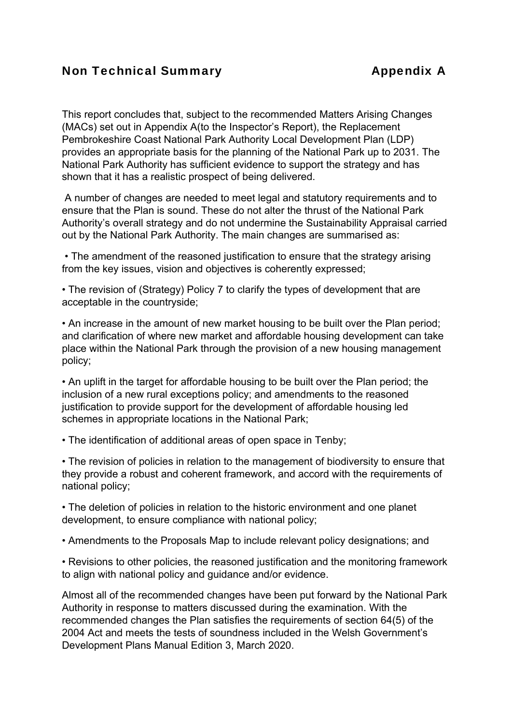# Non Technical Summary **Appendix A**

This report concludes that, subject to the recommended Matters Arising Changes (MACs) set out in Appendix A(to the Inspector's Report), the Replacement Pembrokeshire Coast National Park Authority Local Development Plan (LDP) provides an appropriate basis for the planning of the National Park up to 2031. The National Park Authority has sufficient evidence to support the strategy and has shown that it has a realistic prospect of being delivered.

 A number of changes are needed to meet legal and statutory requirements and to ensure that the Plan is sound. These do not alter the thrust of the National Park Authority's overall strategy and do not undermine the Sustainability Appraisal carried out by the National Park Authority. The main changes are summarised as:

 • The amendment of the reasoned justification to ensure that the strategy arising from the key issues, vision and objectives is coherently expressed;

• The revision of (Strategy) Policy 7 to clarify the types of development that are acceptable in the countryside;

• An increase in the amount of new market housing to be built over the Plan period; and clarification of where new market and affordable housing development can take place within the National Park through the provision of a new housing management policy;

• An uplift in the target for affordable housing to be built over the Plan period; the inclusion of a new rural exceptions policy; and amendments to the reasoned justification to provide support for the development of affordable housing led schemes in appropriate locations in the National Park;

• The identification of additional areas of open space in Tenby;

• The revision of policies in relation to the management of biodiversity to ensure that they provide a robust and coherent framework, and accord with the requirements of national policy;

• The deletion of policies in relation to the historic environment and one planet development, to ensure compliance with national policy;

• Amendments to the Proposals Map to include relevant policy designations; and

• Revisions to other policies, the reasoned justification and the monitoring framework to align with national policy and guidance and/or evidence.

Almost all of the recommended changes have been put forward by the National Park Authority in response to matters discussed during the examination. With the recommended changes the Plan satisfies the requirements of section 64(5) of the 2004 Act and meets the tests of soundness included in the Welsh Government's Development Plans Manual Edition 3, March 2020.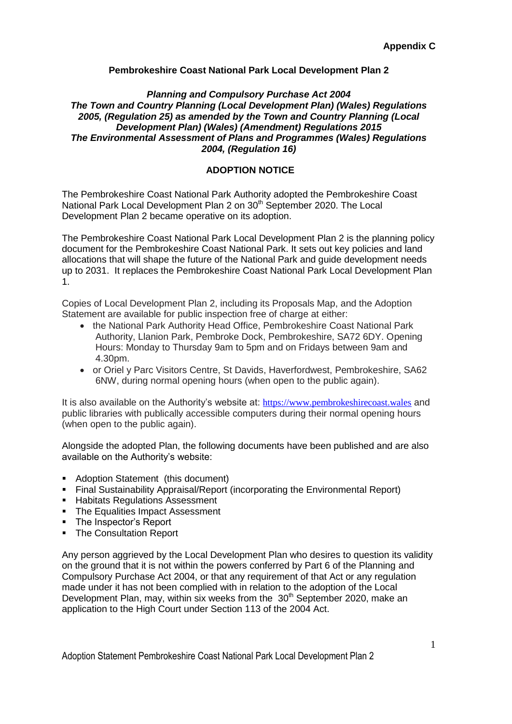#### **Pembrokeshire Coast National Park Local Development Plan 2**

#### *Planning and Compulsory Purchase Act 2004 The Town and Country Planning (Local Development Plan) (Wales) Regulations 2005, (Regulation 25) as amended by the Town and Country Planning (Local Development Plan) (Wales) (Amendment) Regulations 2015 The Environmental Assessment of Plans and Programmes (Wales) Regulations 2004, (Regulation 16)*

#### **ADOPTION NOTICE**

The Pembrokeshire Coast National Park Authority adopted the Pembrokeshire Coast National Park Local Development Plan 2 on 30<sup>th</sup> September 2020. The Local Development Plan 2 became operative on its adoption.

The Pembrokeshire Coast National Park Local Development Plan 2 is the planning policy document for the Pembrokeshire Coast National Park. It sets out key policies and land allocations that will shape the future of the National Park and guide development needs up to 2031. It replaces the Pembrokeshire Coast National Park Local Development Plan 1.

Copies of Local Development Plan 2, including its Proposals Map, and the Adoption Statement are available for public inspection free of charge at either:

- the National Park Authority Head Office, Pembrokeshire Coast National Park Authority, Llanion Park, Pembroke Dock, Pembrokeshire, SA72 6DY. Opening Hours: Monday to Thursday 9am to 5pm and on Fridays between 9am and 4.30pm.
- or Oriel y Parc Visitors Centre, St Davids, Haverfordwest, Pembrokeshire, SA62 6NW, during normal opening hours (when open to the public again).

It is also available on the Authority's website at: [https://www.pembrokeshirecoast.wales](https://www.pembrokeshirecoast.wales/) and public libraries with publically accessible computers during their normal opening hours (when open to the public again).

Alongside the adopted Plan, the following documents have been published and are also available on the Authority's website:

- Adoption Statement (this document)
- Final Sustainability Appraisal/Report (incorporating the Environmental Report)
- **Habitats Regulations Assessment**
- The Equalities Impact Assessment
- The Inspector's Report
- The Consultation Report

Any person aggrieved by the Local Development Plan who desires to question its validity on the ground that it is not within the powers conferred by Part 6 of the Planning and Compulsory Purchase Act 2004, or that any requirement of that Act or any regulation made under it has not been complied with in relation to the adoption of the Local Development Plan, may, within six weeks from the 30<sup>th</sup> September 2020, make an application to the High Court under Section 113 of the 2004 Act.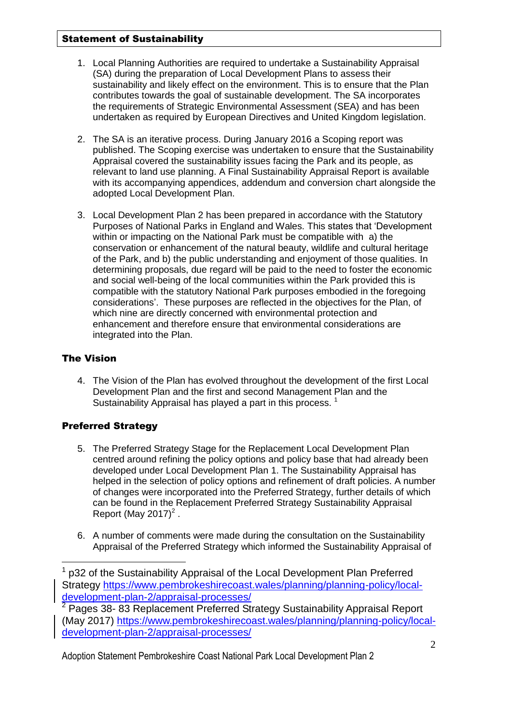#### Statement of Sustainability

- 1. Local Planning Authorities are required to undertake a Sustainability Appraisal (SA) during the preparation of Local Development Plans to assess their sustainability and likely effect on the environment. This is to ensure that the Plan contributes towards the goal of sustainable development. The SA incorporates the requirements of Strategic Environmental Assessment (SEA) and has been undertaken as required by European Directives and United Kingdom legislation.
- 2. The SA is an iterative process. During January 2016 a Scoping report was published. The Scoping exercise was undertaken to ensure that the Sustainability Appraisal covered the sustainability issues facing the Park and its people, as relevant to land use planning. A Final Sustainability Appraisal Report is available with its accompanying appendices, addendum and conversion chart alongside the adopted Local Development Plan.
- 3. Local Development Plan 2 has been prepared in accordance with the Statutory Purposes of National Parks in England and Wales. This states that 'Development within or impacting on the National Park must be compatible with a) the conservation or enhancement of the natural beauty, wildlife and cultural heritage of the Park, and b) the public understanding and enjoyment of those qualities. In determining proposals, due regard will be paid to the need to foster the economic and social well-being of the local communities within the Park provided this is compatible with the statutory National Park purposes embodied in the foregoing considerations'. These purposes are reflected in the objectives for the Plan, of which nine are directly concerned with environmental protection and enhancement and therefore ensure that environmental considerations are integrated into the Plan.

## The Vision

<u>.</u>

4. The Vision of the Plan has evolved throughout the development of the first Local Development Plan and the first and second Management Plan and the Sustainability Appraisal has played a part in this process.<sup>1</sup>

## Preferred Strategy

- 5. The Preferred Strategy Stage for the Replacement Local Development Plan centred around refining the policy options and policy base that had already been developed under Local Development Plan 1. The Sustainability Appraisal has helped in the selection of policy options and refinement of draft policies. A number of changes were incorporated into the Preferred Strategy, further details of which can be found in the Replacement Preferred Strategy Sustainability Appraisal Report (May 2017) $<sup>2</sup>$ .</sup>
- 6. A number of comments were made during the consultation on the Sustainability Appraisal of the Preferred Strategy which informed the Sustainability Appraisal of

<sup>1</sup> p32 of the Sustainability Appraisal of the Local Development Plan Preferred Strategy [https://www.pembrokeshirecoast.wales/planning/planning-policy/local](https://www.pembrokeshirecoast.wales/planning/planning-policy/local-development-plan-2/appraisal-processes/)[development-plan-2/appraisal-processes/](https://www.pembrokeshirecoast.wales/planning/planning-policy/local-development-plan-2/appraisal-processes/)

<sup>&</sup>lt;sup>2</sup> Pages 38- 83 Replacement Preferred Strategy Sustainability Appraisal Report (May 2017) [https://www.pembrokeshirecoast.wales/planning/planning-policy/local](https://www.pembrokeshirecoast.wales/planning/planning-policy/local-development-plan-2/appraisal-processes/)[development-plan-2/appraisal-processes/](https://www.pembrokeshirecoast.wales/planning/planning-policy/local-development-plan-2/appraisal-processes/)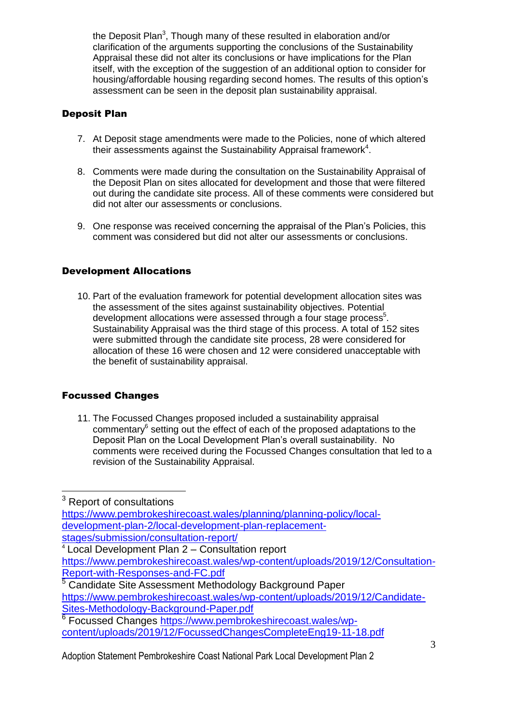the Deposit Plan<sup>3</sup>, Though many of these resulted in elaboration and/or clarification of the arguments supporting the conclusions of the Sustainability Appraisal these did not alter its conclusions or have implications for the Plan itself, with the exception of the suggestion of an additional option to consider for housing/affordable housing regarding second homes. The results of this option's assessment can be seen in the deposit plan sustainability appraisal.

## Deposit Plan

- 7. At Deposit stage amendments were made to the Policies, none of which altered their assessments against the Sustainability Appraisal framework<sup>4</sup>.
- 8. Comments were made during the consultation on the Sustainability Appraisal of the Deposit Plan on sites allocated for development and those that were filtered out during the candidate site process. All of these comments were considered but did not alter our assessments or conclusions.
- 9. One response was received concerning the appraisal of the Plan's Policies, this comment was considered but did not alter our assessments or conclusions.

## Development Allocations

10. Part of the evaluation framework for potential development allocation sites was the assessment of the sites against sustainability objectives. Potential development allocations were assessed through a four stage process<sup>5</sup>. Sustainability Appraisal was the third stage of this process. A total of 152 sites were submitted through the candidate site process, 28 were considered for allocation of these 16 were chosen and 12 were considered unacceptable with the benefit of sustainability appraisal.

## Focussed Changes

11. The Focussed Changes proposed included a sustainability appraisal commentary<sup>6</sup> setting out the effect of each of the proposed adaptations to the Deposit Plan on the Local Development Plan's overall sustainability. No comments were received during the Focussed Changes consultation that led to a revision of the Sustainability Appraisal.

<sup>3</sup> Report of consultations

<u>.</u>

[https://www.pembrokeshirecoast.wales/planning/planning-policy/local](https://www.pembrokeshirecoast.wales/planning/planning-policy/local-development-plan-2/local-development-plan-replacement-stages/submission/consultation-report/)[development-plan-2/local-development-plan-replacement](https://www.pembrokeshirecoast.wales/planning/planning-policy/local-development-plan-2/local-development-plan-replacement-stages/submission/consultation-report/)[stages/submission/consultation-report/](https://www.pembrokeshirecoast.wales/planning/planning-policy/local-development-plan-2/local-development-plan-replacement-stages/submission/consultation-report/)

<sup>4</sup> Local Development Plan 2 – Consultation report [https://www.pembrokeshirecoast.wales/wp-content/uploads/2019/12/Consultation-](https://www.pembrokeshirecoast.wales/wp-content/uploads/2019/12/Consultation-Report-with-Responses-and-FC.pdf)[Report-with-Responses-and-FC.pdf](https://www.pembrokeshirecoast.wales/wp-content/uploads/2019/12/Consultation-Report-with-Responses-and-FC.pdf)

<sup>5</sup> Candidate Site Assessment Methodology Background Paper [https://www.pembrokeshirecoast.wales/wp-content/uploads/2019/12/Candidate-](https://www.pembrokeshirecoast.wales/wp-content/uploads/2019/12/Candidate-Sites-Methodology-Background-Paper.pdf)[Sites-Methodology-Background-Paper.pdf](https://www.pembrokeshirecoast.wales/wp-content/uploads/2019/12/Candidate-Sites-Methodology-Background-Paper.pdf)

<sup>6</sup> Focussed Changes [https://www.pembrokeshirecoast.wales/wp](https://www.pembrokeshirecoast.wales/wp-content/uploads/2019/12/FocussedChangesCompleteEng19-11-18.pdf)[content/uploads/2019/12/FocussedChangesCompleteEng19-11-18.pdf](https://www.pembrokeshirecoast.wales/wp-content/uploads/2019/12/FocussedChangesCompleteEng19-11-18.pdf)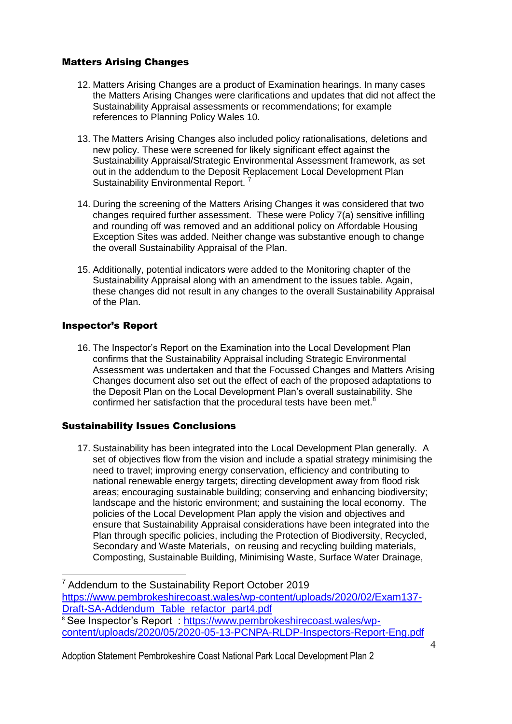#### Matters Arising Changes

- 12. Matters Arising Changes are a product of Examination hearings. In many cases the Matters Arising Changes were clarifications and updates that did not affect the Sustainability Appraisal assessments or recommendations; for example references to Planning Policy Wales 10.
- 13. The Matters Arising Changes also included policy rationalisations, deletions and new policy. These were screened for likely significant effect against the Sustainability Appraisal/Strategic Environmental Assessment framework, as set out in the addendum to the Deposit Replacement Local Development Plan Sustainability Environmental Report.<sup>7</sup>
- 14. During the screening of the Matters Arising Changes it was considered that two changes required further assessment. These were Policy 7(a) sensitive infilling and rounding off was removed and an additional policy on Affordable Housing Exception Sites was added. Neither change was substantive enough to change the overall Sustainability Appraisal of the Plan.
- 15. Additionally, potential indicators were added to the Monitoring chapter of the Sustainability Appraisal along with an amendment to the issues table. Again, these changes did not result in any changes to the overall Sustainability Appraisal of the Plan.

## Inspector's Report

16. The Inspector's Report on the Examination into the Local Development Plan confirms that the Sustainability Appraisal including Strategic Environmental Assessment was undertaken and that the Focussed Changes and Matters Arising Changes document also set out the effect of each of the proposed adaptations to the Deposit Plan on the Local Development Plan's overall sustainability. She confirmed her satisfaction that the procedural tests have been met. $8$ 

## Sustainability Issues Conclusions

17. Sustainability has been integrated into the Local Development Plan generally. A set of objectives flow from the vision and include a spatial strategy minimising the need to travel; improving energy conservation, efficiency and contributing to national renewable energy targets; directing development away from flood risk areas; encouraging sustainable building; conserving and enhancing biodiversity; landscape and the historic environment; and sustaining the local economy. The policies of the Local Development Plan apply the vision and objectives and ensure that Sustainability Appraisal considerations have been integrated into the Plan through specific policies, including the Protection of Biodiversity, Recycled, Secondary and Waste Materials, on reusing and recycling building materials, Composting, Sustainable Building, Minimising Waste, Surface Water Drainage,

<u>.</u>  $7$  Addendum to the Sustainability Report October 2019 [https://www.pembrokeshirecoast.wales/wp-content/uploads/2020/02/Exam137-](https://www.pembrokeshirecoast.wales/wp-content/uploads/2020/02/Exam137-Draft-SA-Addendum_Table_refactor_part4.pdf) [Draft-SA-Addendum\\_Table\\_refactor\\_part4.pdf](https://www.pembrokeshirecoast.wales/wp-content/uploads/2020/02/Exam137-Draft-SA-Addendum_Table_refactor_part4.pdf) <sup>8</sup> See Inspector's Report : [https://www.pembrokeshirecoast.wales/wp-](https://www.pembrokeshirecoast.wales/wp-content/uploads/2020/05/2020-05-13-PCNPA-RLDP-Inspectors-Report-Eng.pdf)

[content/uploads/2020/05/2020-05-13-PCNPA-RLDP-Inspectors-Report-Eng.pdf](https://www.pembrokeshirecoast.wales/wp-content/uploads/2020/05/2020-05-13-PCNPA-RLDP-Inspectors-Report-Eng.pdf)

Adoption Statement Pembrokeshire Coast National Park Local Development Plan 2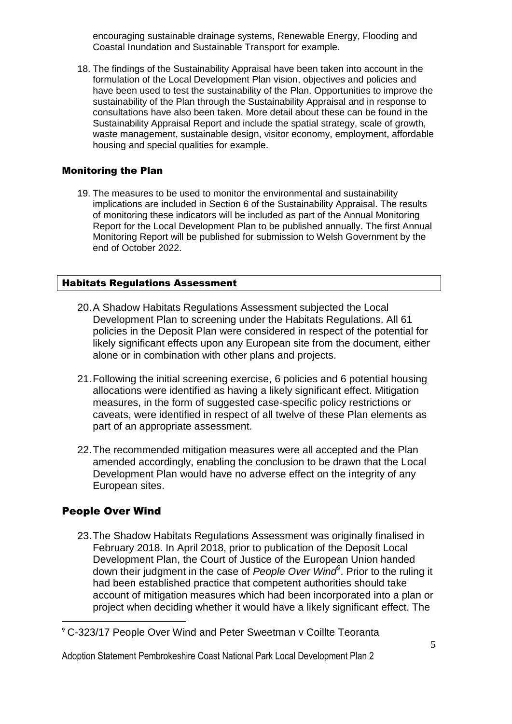encouraging sustainable drainage systems, Renewable Energy, Flooding and Coastal Inundation and Sustainable Transport for example.

18. The findings of the Sustainability Appraisal have been taken into account in the formulation of the Local Development Plan vision, objectives and policies and have been used to test the sustainability of the Plan. Opportunities to improve the sustainability of the Plan through the Sustainability Appraisal and in response to consultations have also been taken. More detail about these can be found in the Sustainability Appraisal Report and include the spatial strategy, scale of growth, waste management, sustainable design, visitor economy, employment, affordable housing and special qualities for example.

#### Monitoring the Plan

19. The measures to be used to monitor the environmental and sustainability implications are included in Section 6 of the Sustainability Appraisal. The results of monitoring these indicators will be included as part of the Annual Monitoring Report for the Local Development Plan to be published annually. The first Annual Monitoring Report will be published for submission to Welsh Government by the end of October 2022.

#### Habitats Regulations Assessment

- 20.A Shadow Habitats Regulations Assessment subjected the Local Development Plan to screening under the Habitats Regulations. All 61 policies in the Deposit Plan were considered in respect of the potential for likely significant effects upon any European site from the document, either alone or in combination with other plans and projects.
- 21.Following the initial screening exercise, 6 policies and 6 potential housing allocations were identified as having a likely significant effect. Mitigation measures, in the form of suggested case-specific policy restrictions or caveats, were identified in respect of all twelve of these Plan elements as part of an appropriate assessment.
- 22.The recommended mitigation measures were all accepted and the Plan amended accordingly, enabling the conclusion to be drawn that the Local Development Plan would have no adverse effect on the integrity of any European sites.

#### People Over Wind

<u>.</u>

23.The Shadow Habitats Regulations Assessment was originally finalised in February 2018. In April 2018, prior to publication of the Deposit Local Development Plan, the Court of Justice of the European Union handed down their judgment in the case of *People Over Wind<sup>9</sup>* . Prior to the ruling it had been established practice that competent authorities should take account of mitigation measures which had been incorporated into a plan or project when deciding whether it would have a likely significant effect. The

<sup>9</sup> C-323/17 People Over Wind and Peter Sweetman v Coillte Teoranta

Adoption Statement Pembrokeshire Coast National Park Local Development Plan 2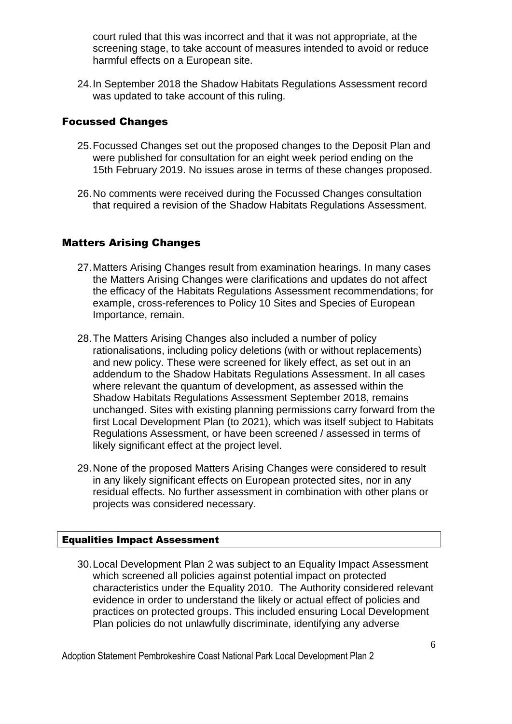court ruled that this was incorrect and that it was not appropriate, at the screening stage, to take account of measures intended to avoid or reduce harmful effects on a European site.

24.In September 2018 the Shadow Habitats Regulations Assessment record was updated to take account of this ruling.

## Focussed Changes

- 25.Focussed Changes set out the proposed changes to the Deposit Plan and were published for consultation for an eight week period ending on the 15th February 2019. No issues arose in terms of these changes proposed.
- 26.No comments were received during the Focussed Changes consultation that required a revision of the Shadow Habitats Regulations Assessment.

## Matters Arising Changes

- 27.Matters Arising Changes result from examination hearings. In many cases the Matters Arising Changes were clarifications and updates do not affect the efficacy of the Habitats Regulations Assessment recommendations; for example, cross-references to Policy 10 Sites and Species of European Importance, remain.
- 28.The Matters Arising Changes also included a number of policy rationalisations, including policy deletions (with or without replacements) and new policy. These were screened for likely effect, as set out in an addendum to the Shadow Habitats Regulations Assessment. In all cases where relevant the quantum of development, as assessed within the Shadow Habitats Regulations Assessment September 2018, remains unchanged. Sites with existing planning permissions carry forward from the first Local Development Plan (to 2021), which was itself subject to Habitats Regulations Assessment, or have been screened / assessed in terms of likely significant effect at the project level.
- 29.None of the proposed Matters Arising Changes were considered to result in any likely significant effects on European protected sites, nor in any residual effects. No further assessment in combination with other plans or projects was considered necessary.

#### Equalities Impact Assessment

30.Local Development Plan 2 was subject to an Equality Impact Assessment which screened all policies against potential impact on protected characteristics under the Equality 2010. The Authority considered relevant evidence in order to understand the likely or actual effect of policies and practices on protected groups. This included ensuring Local Development Plan policies do not unlawfully discriminate, identifying any adverse

Adoption Statement Pembrokeshire Coast National Park Local Development Plan 2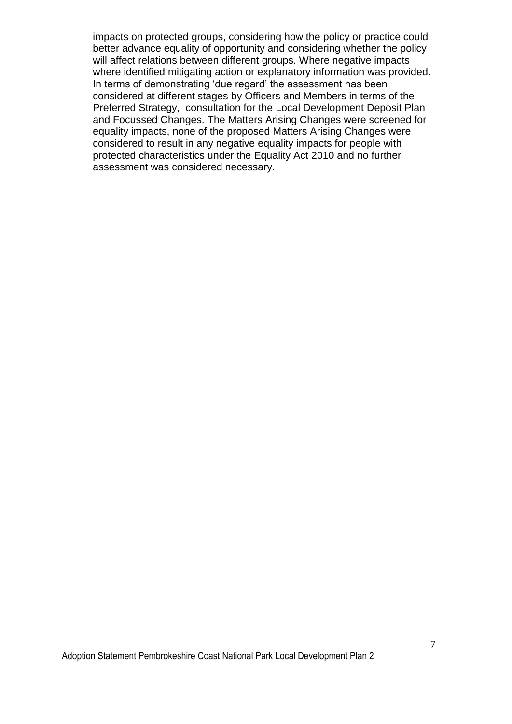impacts on protected groups, considering how the policy or practice could better advance equality of opportunity and considering whether the policy will affect relations between different groups. Where negative impacts where identified mitigating action or explanatory information was provided. In terms of demonstrating 'due regard' the assessment has been considered at different stages by Officers and Members in terms of the Preferred Strategy, consultation for the Local Development Deposit Plan and Focussed Changes. The Matters Arising Changes were screened for equality impacts, none of the proposed Matters Arising Changes were considered to result in any negative equality impacts for people with protected characteristics under the Equality Act 2010 and no further assessment was considered necessary.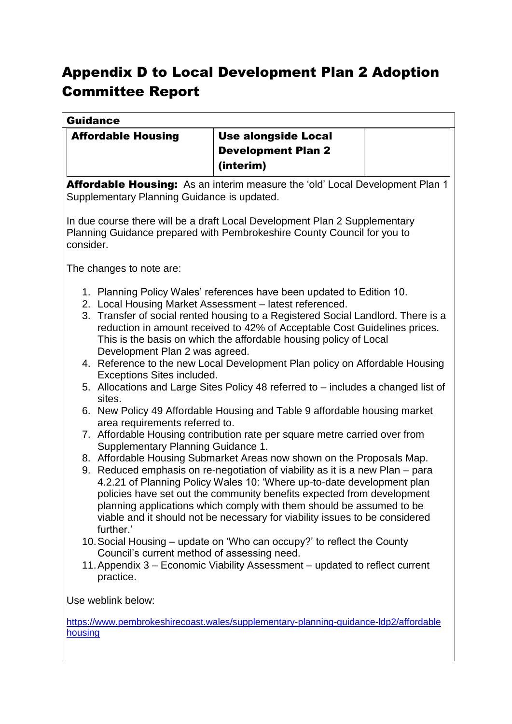# Appendix D to Local Development Plan 2 Adoption Committee Report

| <b>Guidance</b>                                                                                                                                                    |                                                                                                                                                |  |  |
|--------------------------------------------------------------------------------------------------------------------------------------------------------------------|------------------------------------------------------------------------------------------------------------------------------------------------|--|--|
| <b>Affordable Housing</b><br><b>Use alongside Local</b>                                                                                                            |                                                                                                                                                |  |  |
|                                                                                                                                                                    | <b>Development Plan 2</b>                                                                                                                      |  |  |
|                                                                                                                                                                    | (interim)                                                                                                                                      |  |  |
|                                                                                                                                                                    | Affordable Housing: As an interim measure the 'old' Local Development Plan 1                                                                   |  |  |
| Supplementary Planning Guidance is updated.                                                                                                                        |                                                                                                                                                |  |  |
| In due course there will be a draft Local Development Plan 2 Supplementary<br>Planning Guidance prepared with Pembrokeshire County Council for you to<br>consider. |                                                                                                                                                |  |  |
| The changes to note are:                                                                                                                                           |                                                                                                                                                |  |  |
|                                                                                                                                                                    | 1. Planning Policy Wales' references have been updated to Edition 10.                                                                          |  |  |
|                                                                                                                                                                    | 2. Local Housing Market Assessment - latest referenced.                                                                                        |  |  |
|                                                                                                                                                                    | 3. Transfer of social rented housing to a Registered Social Landlord. There is a                                                               |  |  |
|                                                                                                                                                                    | reduction in amount received to 42% of Acceptable Cost Guidelines prices.<br>This is the basis on which the affordable housing policy of Local |  |  |
| Development Plan 2 was agreed.                                                                                                                                     |                                                                                                                                                |  |  |
|                                                                                                                                                                    | 4. Reference to the new Local Development Plan policy on Affordable Housing                                                                    |  |  |
| Exceptions Sites included.                                                                                                                                         |                                                                                                                                                |  |  |
|                                                                                                                                                                    | 5. Allocations and Large Sites Policy 48 referred to – includes a changed list of                                                              |  |  |
| sites.                                                                                                                                                             |                                                                                                                                                |  |  |
| area requirements referred to.                                                                                                                                     | 6. New Policy 49 Affordable Housing and Table 9 affordable housing market                                                                      |  |  |
|                                                                                                                                                                    | 7. Affordable Housing contribution rate per square metre carried over from                                                                     |  |  |
| Supplementary Planning Guidance 1.                                                                                                                                 |                                                                                                                                                |  |  |
|                                                                                                                                                                    | 8. Affordable Housing Submarket Areas now shown on the Proposals Map.                                                                          |  |  |
|                                                                                                                                                                    | 9. Reduced emphasis on re-negotiation of viability as it is a new Plan - para                                                                  |  |  |
|                                                                                                                                                                    | 4.2.21 of Planning Policy Wales 10: 'Where up-to-date development plan                                                                         |  |  |
|                                                                                                                                                                    | policies have set out the community benefits expected from development<br>planning applications which comply with them should be assumed to be |  |  |
|                                                                                                                                                                    | viable and it should not be necessary for viability issues to be considered                                                                    |  |  |
| further.'                                                                                                                                                          |                                                                                                                                                |  |  |
|                                                                                                                                                                    | 10. Social Housing – update on 'Who can occupy?' to reflect the County                                                                         |  |  |
| Council's current method of assessing need.                                                                                                                        |                                                                                                                                                |  |  |
| 11. Appendix 3 – Economic Viability Assessment – updated to reflect current<br>practice.                                                                           |                                                                                                                                                |  |  |
|                                                                                                                                                                    |                                                                                                                                                |  |  |
| Use weblink below:                                                                                                                                                 |                                                                                                                                                |  |  |
| https://www.pembrokeshirecoast.wales/supplementary-planning-quidance-ldp2/affordable                                                                               |                                                                                                                                                |  |  |
| housing                                                                                                                                                            |                                                                                                                                                |  |  |
|                                                                                                                                                                    |                                                                                                                                                |  |  |
|                                                                                                                                                                    |                                                                                                                                                |  |  |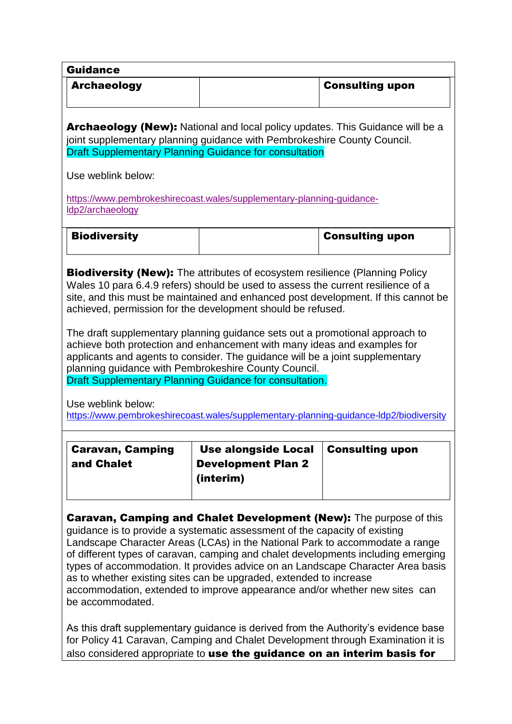| <b>Guidance</b>                       |                                                                                                                                                                                                                                                                                                                                                                                                                                                                                                                                                                                                       |                                                                                                                                                                              |
|---------------------------------------|-------------------------------------------------------------------------------------------------------------------------------------------------------------------------------------------------------------------------------------------------------------------------------------------------------------------------------------------------------------------------------------------------------------------------------------------------------------------------------------------------------------------------------------------------------------------------------------------------------|------------------------------------------------------------------------------------------------------------------------------------------------------------------------------|
| <b>Archaeology</b>                    |                                                                                                                                                                                                                                                                                                                                                                                                                                                                                                                                                                                                       | <b>Consulting upon</b>                                                                                                                                                       |
|                                       | <b>Archaeology (New):</b> National and local policy updates. This Guidance will be a<br>joint supplementary planning guidance with Pembrokeshire County Council.<br><b>Draft Supplementary Planning Guidance for consultation</b>                                                                                                                                                                                                                                                                                                                                                                     |                                                                                                                                                                              |
| Use weblink below:                    |                                                                                                                                                                                                                                                                                                                                                                                                                                                                                                                                                                                                       |                                                                                                                                                                              |
|                                       | https://www.pembrokeshirecoast.wales/supplementary-planning-guidance-                                                                                                                                                                                                                                                                                                                                                                                                                                                                                                                                 |                                                                                                                                                                              |
| Idp2/archaeology                      |                                                                                                                                                                                                                                                                                                                                                                                                                                                                                                                                                                                                       |                                                                                                                                                                              |
| <b>Biodiversity</b>                   |                                                                                                                                                                                                                                                                                                                                                                                                                                                                                                                                                                                                       | <b>Consulting upon</b>                                                                                                                                                       |
| Use weblink below:                    | <b>Biodiversity (New):</b> The attributes of ecosystem resilience (Planning Policy<br>Wales 10 para 6.4.9 refers) should be used to assess the current resilience of a<br>achieved, permission for the development should be refused.<br>The draft supplementary planning guidance sets out a promotional approach to<br>achieve both protection and enhancement with many ideas and examples for<br>applicants and agents to consider. The guidance will be a joint supplementary<br>planning guidance with Pembrokeshire County Council.<br>Draft Supplementary Planning Guidance for consultation. | site, and this must be maintained and enhanced post development. If this cannot be<br>https://www.pembrokeshirecoast.wales/supplementary-planning-guidance-ldp2/biodiversity |
| <b>Caravan, Camping</b><br>and Chalet | <b>Use alongside Local</b><br><b>Development Plan 2</b><br>(interim)                                                                                                                                                                                                                                                                                                                                                                                                                                                                                                                                  | <b>Consulting upon</b>                                                                                                                                                       |
| be accommodated.                      | <b>Caravan, Camping and Chalet Development (New):</b> The purpose of this<br>guidance is to provide a systematic assessment of the capacity of existing<br>Landscape Character Areas (LCAs) in the National Park to accommodate a range<br>as to whether existing sites can be upgraded, extended to increase<br>accommodation, extended to improve appearance and/or whether new sites can                                                                                                                                                                                                           | of different types of caravan, camping and chalet developments including emerging<br>types of accommodation. It provides advice on an Landscape Character Area basis         |

As this draft supplementary guidance is derived from the Authority's evidence base for Policy 41 Caravan, Camping and Chalet Development through Examination it is also considered appropriate to use the guidance on an interim basis for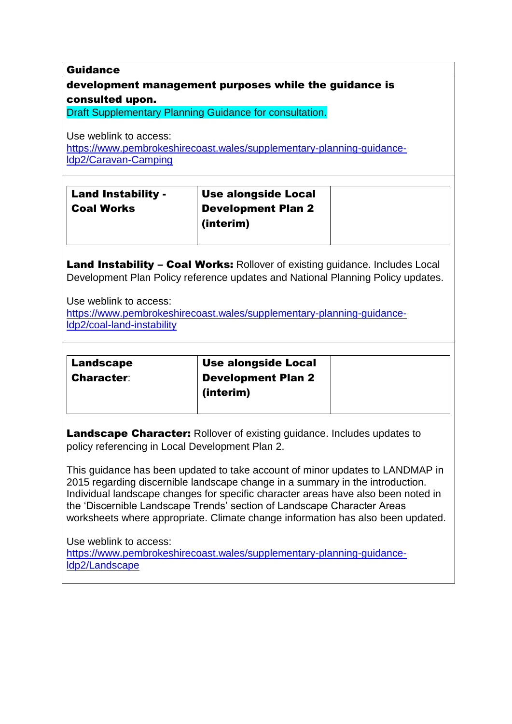Guidance

# development management purposes while the guidance is consulted upon.

Draft Supplementary Planning Guidance for consultation.

Use weblink to access:

[https://www.pembrokeshirecoast.wales/supplementary-planning-guidance](https://www.pembrokeshirecoast.wales/?page_id=52211)[ldp2/Caravan-Camping](https://www.pembrokeshirecoast.wales/?page_id=52211)

| Land Instability - | Use alongside Local       |
|--------------------|---------------------------|
| <b>Coal Works</b>  | <b>Development Plan 2</b> |
|                    | (interim)                 |
|                    |                           |

Land Instability - Coal Works: Rollover of existing guidance. Includes Local Development Plan Policy reference updates and National Planning Policy updates.

Use weblink to access:

[https://www.pembrokeshirecoast.wales/supplementary-planning-guidance](https://www.pembrokeshirecoast.wales/?page_id=52208)[ldp2/coal-land-instability](https://www.pembrokeshirecoast.wales/?page_id=52208)

| <b>Landscape</b>  | <b>Use alongside Local</b> |  |
|-------------------|----------------------------|--|
| <b>Character:</b> | <b>Development Plan 2</b>  |  |
|                   | (interim)                  |  |
|                   |                            |  |

Landscape Character: Rollover of existing quidance. Includes updates to policy referencing in Local Development Plan 2.

This guidance has been updated to take account of minor updates to LANDMAP in 2015 regarding discernible landscape change in a summary in the introduction. Individual landscape changes for specific character areas have also been noted in the 'Discernible Landscape Trends' section of Landscape Character Areas worksheets where appropriate. Climate change information has also been updated.

Use weblink to access: [https://www.pembrokeshirecoast.wales/supplementary-planning-guidance](https://www.pembrokeshirecoast.wales/?page_id=52179)[ldp2/Landscape](https://www.pembrokeshirecoast.wales/?page_id=52179)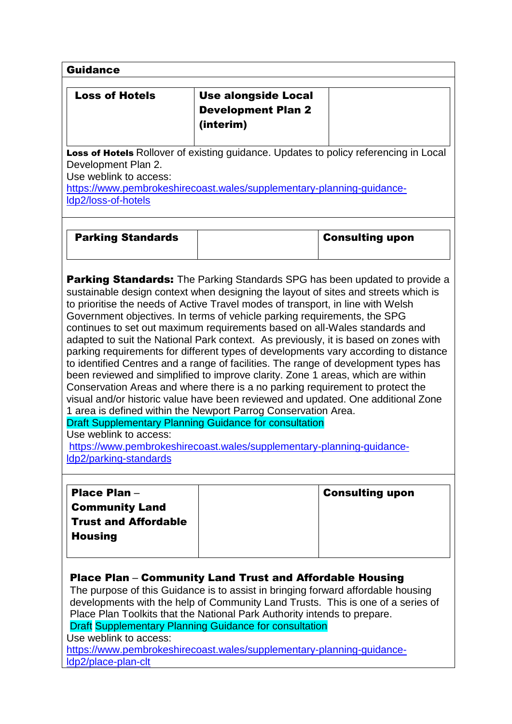| <b>Guidance</b>                                                                       |                                                                                                                                                                                                                                                                                                                                                                                                                                                                                                                                                         |                        |
|---------------------------------------------------------------------------------------|---------------------------------------------------------------------------------------------------------------------------------------------------------------------------------------------------------------------------------------------------------------------------------------------------------------------------------------------------------------------------------------------------------------------------------------------------------------------------------------------------------------------------------------------------------|------------------------|
| <b>Loss of Hotels</b>                                                                 | <b>Use alongside Local</b><br><b>Development Plan 2</b><br>(interim)                                                                                                                                                                                                                                                                                                                                                                                                                                                                                    |                        |
| Development Plan 2.<br>Use weblink to access:<br>Idp2/loss-of-hotels                  | Loss of Hotels Rollover of existing guidance. Updates to policy referencing in Local<br>https://www.pembrokeshirecoast.wales/supplementary-planning-guidance-                                                                                                                                                                                                                                                                                                                                                                                           |                        |
| <b>Parking Standards</b>                                                              |                                                                                                                                                                                                                                                                                                                                                                                                                                                                                                                                                         | <b>Consulting upon</b> |
| Use weblink to access:                                                                | to identified Centres and a range of facilities. The range of development types has<br>been reviewed and simplified to improve clarity. Zone 1 areas, which are within<br>Conservation Areas and where there is a no parking requirement to protect the<br>visual and/or historic value have been reviewed and updated. One additional Zone<br>1 area is defined within the Newport Parrog Conservation Area.<br><b>Draft Supplementary Planning Guidance for consultation</b><br>https://www.pembrokeshirecoast.wales/supplementary-planning-guidance- |                        |
| Idp2/parking-standards                                                                |                                                                                                                                                                                                                                                                                                                                                                                                                                                                                                                                                         |                        |
| Place Plan-<br><b>Community Land</b><br><b>Trust and Affordable</b><br><b>Housing</b> |                                                                                                                                                                                                                                                                                                                                                                                                                                                                                                                                                         | <b>Consulting upon</b> |
| Use weblink to access:                                                                | Place Plan – Community Land Trust and Affordable Housing<br>The purpose of this Guidance is to assist in bringing forward affordable housing<br>developments with the help of Community Land Trusts. This is one of a series of<br>Place Plan Toolkits that the National Park Authority intends to prepare.<br><b>Draft Supplementary Planning Guidance for consultation</b><br>https://www.pembrokeshirecoast.wales/supplementary-planning-guidance-                                                                                                   |                        |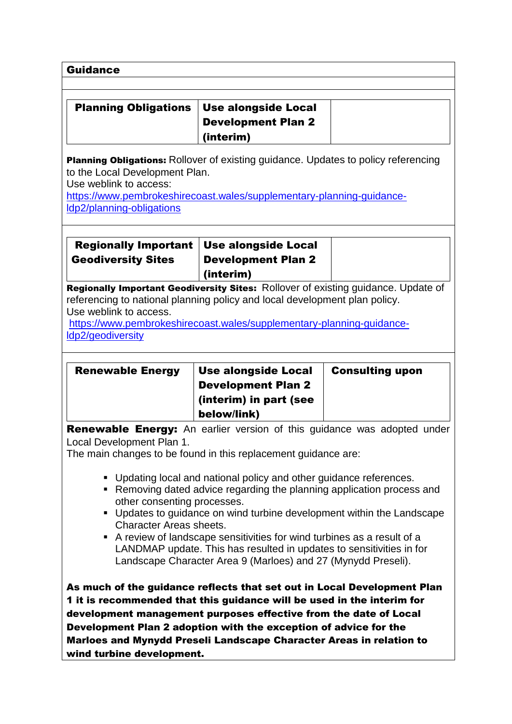Guidance

| Planning Obligations   Use alongside Local |                    |
|--------------------------------------------|--------------------|
|                                            | Development Plan 2 |
|                                            | $ $ (interim)      |

**Planning Obligations:** Rollover of existing guidance. Updates to policy referencing to the Local Development Plan.

Use weblink to access:

[https://www.pembrokeshirecoast.wales/supplementary-planning-guidance](https://www.pembrokeshirecoast.wales/?page_id=52200)[ldp2/planning-obligations](https://www.pembrokeshirecoast.wales/?page_id=52200)

| Regionally Important   Use alongside Local                                                                                                                      | <b>Development Plan 2</b> |  |
|-----------------------------------------------------------------------------------------------------------------------------------------------------------------|---------------------------|--|
| <b>Geodiversity Sites</b>                                                                                                                                       | (interim)                 |  |
| Regionally Important Geodiversity Sites: Rollover of existing quidance. Update of<br>referencing to national planning policy and local development plan policy. |                           |  |

Use weblink to access.

[https://www.pembrokeshirecoast.wales/supplementary-planning-guidance](https://www.pembrokeshirecoast.wales/?page_id=52202)[ldp2/geodiversity](https://www.pembrokeshirecoast.wales/?page_id=52202)

| <b>Renewable Energy</b> | Use alongside Local       | <b>Consulting upon</b> |
|-------------------------|---------------------------|------------------------|
|                         | <b>Development Plan 2</b> |                        |
|                         | (interim) in part (see    |                        |
|                         | below/link)               |                        |

Renewable Energy: An earlier version of this guidance was adopted under Local Development Plan 1.

The main changes to be found in this replacement guidance are:

- Updating local and national policy and other guidance references.
- Removing dated advice regarding the planning application process and other consenting processes.
- Updates to guidance on wind turbine development within the Landscape Character Areas sheets.
- A review of landscape sensitivities for wind turbines as a result of a LANDMAP update. This has resulted in updates to sensitivities in for Landscape Character Area 9 (Marloes) and 27 (Mynydd Preseli).

As much of the guidance reflects that set out in Local Development Plan 1 it is recommended that this guidance will be used in the interim for development management purposes effective from the date of Local Development Plan 2 adoption with the exception of advice for the Marloes and Mynydd Preseli Landscape Character Areas in relation to wind turbine development.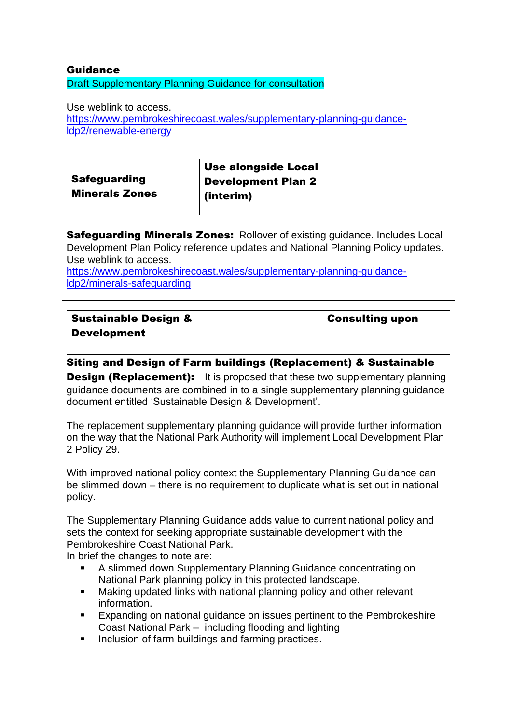## Guidance

#### Draft Supplementary Planning Guidance for consultation

Use weblink to access.

[https://www.pembrokeshirecoast.wales/supplementary-planning-guidance](https://www.pembrokeshirecoast.wales/?page_id=52213)[ldp2/renewable-energy](https://www.pembrokeshirecoast.wales/?page_id=52213)

|                       | <b>Use alongside Local</b> |  |
|-----------------------|----------------------------|--|
| <b>Safeguarding</b>   | <b>Development Plan 2</b>  |  |
| <b>Minerals Zones</b> | (interim)                  |  |
|                       |                            |  |

**Safeguarding Minerals Zones: Rollover of existing guidance. Includes Local** Development Plan Policy reference updates and National Planning Policy updates. Use weblink to access.

[https://www.pembrokeshirecoast.wales/supplementary-planning-guidance](https://www.pembrokeshirecoast.wales/?page_id=52204&preview=true)[ldp2/minerals-safeguarding](https://www.pembrokeshirecoast.wales/?page_id=52204&preview=true)

| <b>Sustainable Design &amp;</b> | <b>Consulting upon</b> |
|---------------------------------|------------------------|
| Development                     |                        |

## Siting and Design of Farm buildings (Replacement) & Sustainable

**Design (Replacement):** It is proposed that these two supplementary planning guidance documents are combined in to a single supplementary planning guidance document entitled 'Sustainable Design & Development'.

The replacement supplementary planning guidance will provide further information on the way that the National Park Authority will implement Local Development Plan 2 Policy 29.

With improved national policy context the Supplementary Planning Guidance can be slimmed down – there is no requirement to duplicate what is set out in national policy.

The Supplementary Planning Guidance adds value to current national policy and sets the context for seeking appropriate sustainable development with the Pembrokeshire Coast National Park.

In brief the changes to note are:

- A slimmed down Supplementary Planning Guidance concentrating on National Park planning policy in this protected landscape.
- Making updated links with national planning policy and other relevant information.
- Expanding on national guidance on issues pertinent to the Pembrokeshire Coast National Park – including flooding and lighting
- Inclusion of farm buildings and farming practices.